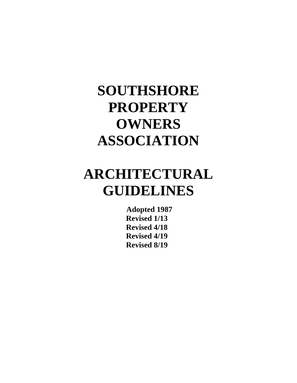## **ARCHITECTURAL GUIDELINES**

**Adopted 1987 Revised 1/13 Revised 4/18 Revised 4/19 Revised 8/19**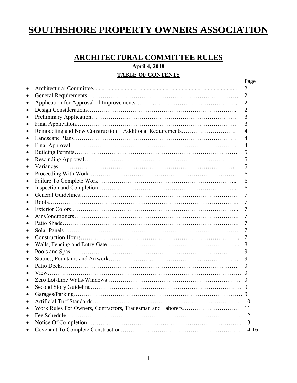## **ARCHITECTURAL COMMITTEE RULES**

**April 4, 2018 TABLE OF CONTENTS**

| Garages/Parking |
|-----------------|
|                 |
|                 |
|                 |
|                 |
|                 |
|                 |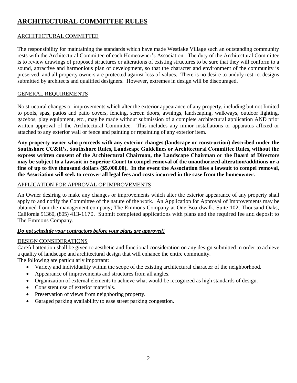## **ARCHITECTURAL COMMITTEE RULES**

#### ARCHITECTURAL COMMITTEE

The responsibility for maintaining the standards which have made Westlake Village such an outstanding community rests with the Architectural Committee of each Homeowner's Association. The duty of the Architectural Committee is to review drawings of proposed structures or alterations of existing structures to be sure that they will conform to a sound, attractive and harmonious plan of development, so that the character and environment of the community is preserved, and all property owners are protected against loss of values. There is no desire to unduly restrict designs submitted by architects and qualified designers. However, extremes in design will be discouraged.

#### GENERAL REQUIREMENTS

No structural changes or improvements which alter the exterior appearance of any property, including but not limited to pools, spas, patios and patio covers, fencing, screen doors, awnings, landscaping, walkways, outdoor lighting, gazebos, play equipment, etc., may be made without submission of a complete architectural application AND prior written approval of the Architectural Committee. This includes any minor installations or apparatus affixed or attached to any exterior wall or fence and painting or repainting of any exterior item.

**Any property owner who proceeds with any exterior changes (landscape or construction) described under the Southshore CC&R's, Southshore Rules, Landscape Guidelines or Architectural Committee Rules, without the express written consent of the Architectural Chairman, the Landscape Chairman or the Board of Directors may be subject to a lawsuit in Superior Court to compel removal of the unauthorized alteration/additions or a fine of up to five thousand dollars (\$5,000.00). In the event the Association files a lawsuit to compel removal, the Association will seek to recover all legal fees and costs incurred in the case from the homeowner.**

#### APPLICATION FOR APPROVAL OF IMPROVEMENTS

An Owner desiring to make any changes or improvements which alter the exterior appearance of any property shall apply to and notify the Committee of the nature of the work. An Application for Approval of Improvements may be obtained from the management company; The Emmons Company at One Boardwalk, Suite 102, Thousand Oaks, California 91360, (805) 413-1170. Submit completed applications with plans and the required fee and deposit to The Emmons Company.

#### *Do not schedule your contractors before your plans are approved!*

#### DESIGN CONSIDERATIONS

Careful attention shall be given to aesthetic and functional consideration on any design submitted in order to achieve a quality of landscape and architectural design that will enhance the entire community.

The following are particularly important:

- Variety and individuality within the scope of the existing architectural character of the neighborhood.
- Appearance of improvements and structures from all angles.
- Organization of external elements to achieve what would be recognized as high standards of design.
- Consistent use of exterior materials.
- Preservation of views from neighboring property.
- Garaged parking availability to ease street parking congestion.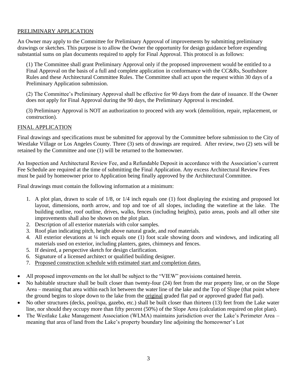#### PRELIMINARY APPLICATION

An Owner may apply to the Committee for Preliminary Approval of improvements by submitting preliminary drawings or sketches. This purpose is to allow the Owner the opportunity for design guidance before expending substantial sums on plan documents required to apply for Final Approval. This protocol is as follows:

(1) The Committee shall grant Preliminary Approval only if the proposed improvement would be entitled to a Final Approval on the basis of a full and complete application in conformance with the CC&Rs, Southshore Rules and these Architectural Committee Rules. The Committee shall act upon the request within 30 days of a Preliminary Application submission.

(2) The Committee's Preliminary Approval shall be effective for 90 days from the date of issuance. If the Owner does not apply for Final Approval during the 90 days, the Preliminary Approval is rescinded.

(3) Preliminary Approval is NOT an authorization to proceed with any work (demolition, repair, replacement, or construction).

#### FINAL APPLICATION

Final drawings and specifications must be submitted for approval by the Committee before submission to the City of Westlake Village or Los Angeles County. Three (3) sets of drawings are required. After review, two (2) sets will be retained by the Committee and one (1) will be returned to the homeowner.

An Inspection and Architectural Review Fee, and a Refundable Deposit in accordance with the Association's current Fee Schedule are required at the time of submitting the Final Application. Any excess Architectural Review Fees must be paid by homeowner prior to Application being finally approved by the Architectural Committee.

Final drawings must contain the following information at a minimum:

- 1. A plot plan, drawn to scale of 1/8, or 1/4 inch equals one (1) foot displaying the existing and proposed lot layout, dimensions, north arrow, and top and toe of all slopes, including the waterline at the lake. The building outline, roof outline, drives, walks, fences (including heights), patio areas, pools and all other site improvements shall also be shown on the plot plan.
- 2. Description of all exterior materials with color samples.
- 3. Roof plan indicating pitch, height above natural grade, and roof materials.
- 4. All exterior elevations at ¼ inch equals one (1) foot scale showing doors and windows, and indicating all materials used on exterior, including planters, gates, chimneys and fences.
- 5. If desired, a perspective sketch for design clarification.
- 6. Signature of a licensed architect or qualified building designer.
- 7. Proposed construction schedule with estimated start and completion dates.
- All proposed improvements on the lot shall be subject to the "VIEW" provisions contained herein.
- No habitable structure shall be built closer than twenty-four (24) feet from the rear property line, or on the Slope Area – meaning that area within each lot between the water line of the lake and the Top of Slope (that point where the ground begins to slope down to the lake from the original graded flat pad or approved graded flat pad).
- No other structures (decks, pool/spa, gazebo, etc.) shall be built closer than thirteen (13) feet from the Lake water line, nor should they occupy more than fifty percent (50%) of the Slope Area (calculation required on plot plan).
- The Westlake Lake Management Association (WLMA) maintains jurisdiction over the Lake's Perimeter Area meaning that area of land from the Lake's property boundary line adjoining the homeowner's Lot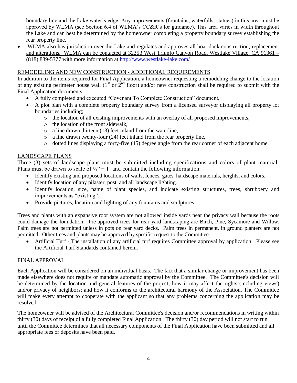boundary line and the Lake water's edge. Any improvements (fountains, waterfalls, statues) in this area must be approved by WLMA (see Section 6.4 of WLMA's CC&R's for guidance). This area varies in width throughout the Lake and can best be determined by the homeowner completing a property boundary survey establishing the rear property line.

 WLMA also has jurisdiction over the Lake and regulates and approves all boat dock construction, replacement and alterations. WLMA can be contacted at 32353 West Triunfo Canyon Road, Westlake Village, CA 91361 – (818) 889-5377 with more information at<http://www.westlake-lake.com/>

#### REMODELING AND NEW CONSTRUCTION - ADDITIONAL REQUIREMENTS

In addition to the items required for Final Application, a homeowner requesting a remodeling change to the location of any existing perimeter house wall  $(1<sup>st</sup> or 2<sup>nd</sup>$  floor) and/or new construction shall be required to submit with the Final Application documents:

- A fully completed and executed "Covenant To Complete Construction" document,
- A plot plan with a complete property boundary survey from a licensed surveyor displaying all property lot boundaries including;
	- $\circ$  the location of all existing improvements with an overlay of all proposed improvements,
	- o the location of the front sidewalk,
	- o a line drawn thirteen (13) feet inland from the waterline,
	- o a line drawn twenty-four (24) feet inland from the rear property line,
	- o dotted lines displaying a forty-five (45) degree angle from the rear corner of each adjacent home,

#### LANDSCAPE PLANS

Three (3) sets of landscape plans must be submitted including specifications and colors of plant material. Plans must be drawn to scale of  $\frac{1}{4}$ " = 1' and contain the following information:

- Identify existing and proposed locations of walls, fences, gates, hardscape materials, heights, and colors.
- Identify location of any pilaster, post, and all landscape lighting.
- Identify location, size, name of plant species, and indicate existing structures, trees, shrubbery and improvements as "existing".
- Provide pictures, location and lighting of any fountains and sculptures.

Trees and plants with an expansive root system are not allowed inside yards near the privacy wall because the roots could damage the foundation. Pre-approved trees for rear yard landscaping are Birch, Pine, Sycamore and Willow. Palm trees are not permitted unless in pots on rear yard decks. Palm trees in permanent, in ground planters are not permitted. Other trees and plants may be approved by specific request to the Committee.

 Artificial Turf - The installation of any artificial turf requires Committee approval by application. Please see the Artificial Turf Standards contained herein.

#### FINAL APPROVAL

Each Application will be considered on an individual basis. The fact that a similar change or improvement has been made elsewhere does not require or mandate automatic approval by the Committee. The Committee's decision will be determined by the location and general features of the project; how it may affect the rights (including views) and/or privacy of neighbors; and how it conforms to the architectural harmony of the Association. The Committee will make every attempt to cooperate with the applicant so that any problems concerning the application may be resolved.

The homeowner will be advised of the Architectural Committee's decision and/or recommendations in writing within thirty (30) days of receipt of a fully completed Final Application. The thirty (30) day period will not start to run until the Committee determines that all necessary components of the Final Application have been submitted and all appropriate fees or deposits have been paid.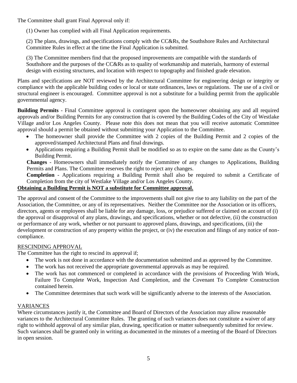The Committee shall grant Final Approval only if:

(1) Owner has complied with all Final Application requirements.

(2) The plans, drawings, and specifications comply with the CC&Rs, the Southshore Rules and Architectural Committee Rules in effect at the time the Final Application is submitted.

(3) The Committee members find that the proposed improvements are compatible with the standards of Southshore and the purposes of the CC&Rs as to quality of workmanship and materials, harmony of external design with existing structures, and location with respect to topography and finished grade elevation.

Plans and specifications are NOT reviewed by the Architectural Committee for engineering design or integrity or compliance with the applicable building codes or local or state ordinances, laws or regulations. The use of a civil or structural engineer is encouraged. Committee approval is not a substitute for a building permit from the applicable governmental agency.

**Building Permits** - Final Committee approval is contingent upon the homeowner obtaining any and all required approvals and/or Building Permits for any construction that is covered by the Building Codes of the City of Westlake Village and/or Los Angeles County. Please note this does not mean that you will receive automatic Committee approval should a permit be obtained without submitting your Application to the Committee.

- The homeowner shall provide the Committee with 2 copies of the Building Permit and 2 copies of the approved/stamped Architectural Plans and final drawings.
- Applications requiring a Building Permit shall be modified so as to expire on the same date as the County's Building Permit.

**Changes** - Homeowners shall immediately notify the Committee of any changes to Applications, Building Permits and Plans. The Committee reserves the right to reject any changes.

**Completion** - Applications requiring a Building Permit shall also be required to submit a Certificate of Completion from the city of Westlake Village and/or Los Angeles County.

#### **Obtaining a Building Permit is NOT a substitute for Committee approval.**

The approval and consent of the Committee to the improvements shall not give rise to any liability on the part of the Association, the Committee, or any of its representatives. Neither the Committee nor the Association or its officers, directors, agents or employees shall be liable for any damage, loss, or prejudice suffered or claimed on account of (i) the approval or disapproval of any plans, drawings, and specifications, whether or not defective, (ii) the construction or performance of any work, whether or not pursuant to approved plans, drawings, and specifications, (iii) the development or construction of any property within the project, or (iv) the execution and filings of any notice of noncompliance.

#### RESCINDING APPROVAL

The Committee has the right to rescind its approval if;

- The work is not done in accordance with the documentation submitted and as approved by the Committee.
- The work has not received the appropriate governmental approvals as may be required.
- The work has not commenced or completed in accordance with the provisions of Proceeding With Work, Failure To Complete Work, Inspection And Completion, and the Covenant To Complete Construction contained herein.
- The Committee determines that such work will be significantly adverse to the interests of the Association.

#### VARIANCES

Where circumstances justify it, the Committee and Board of Directors of the Association may allow reasonable variances to the Architectural Committee Rules. The granting of such variances does not constitute a waiver of any right to withhold approval of any similar plan, drawing, specification or matter subsequently submitted for review. Such variances shall be granted only in writing as documented in the minutes of a meeting of the Board of Directors in open session.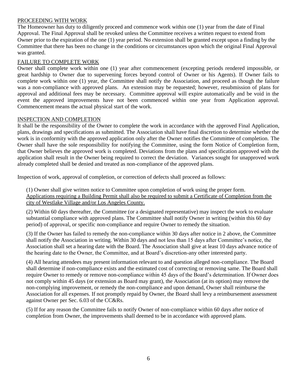#### PROCEEDING WITH WORK

The Homeowner has duty to diligently proceed and commence work within one (1) year from the date of Final Approval. The Final Approval shall be revoked unless the Committee receives a written request to extend from Owner prior to the expiration of the one (1) year period. No extension shall be granted except upon a finding by the Committee that there has been no change in the conditions or circumstances upon which the original Final Approval was granted.

#### FAILURE TO COMPLETE WORK

Owner shall complete work within one (1) year after commencement (excepting periods rendered impossible, or great hardship to Owner due to supervening forces beyond control of Owner or his Agents). If Owner fails to complete work within one (1) year, the Committee shall notify the Association, and proceed as though the failure was a non-compliance with approved plans. An extension may be requested; however, resubmission of plans for approval and additional fees may be necessary. Committee approval will expire automatically and be void in the event the approved improvements have not been commenced within one year from Application approval. Commencement means the actual physical start of the work.

#### INSPECTION AND COMPLETION

It shall be the responsibility of the Owner to complete the work in accordance with the approved Final Application, plans, drawings and specifications as submitted. The Association shall have final discretion to determine whether the work is in conformity with the approved application only after the Owner notifies the Committee of completion. The Owner shall have the sole responsibility for notifying the Committee, using the form Notice of Completion form, that Owner believes the approved work is completed. Deviations from the plans and specification approved with the application shall result in the Owner being required to correct the deviation. Variances sought for unapproved work already completed shall be denied and treated as non-compliance of the approved plans.

Inspection of work, approval of completion, or correction of defects shall proceed as follows:

(1) Owner shall give written notice to Committee upon completion of work using the proper form. Applications requiring a Building Permit shall also be required to submit a Certificate of Completion from the city of Westlake Village and/or Los Angeles County.

(2) Within 60 days thereafter, the Committee (or a designated representative) may inspect the work to evaluate substantial compliance with approved plans. The Committee shall notify Owner in writing (within this 60 day period) of approval, or specific non-compliance and require Owner to remedy the situation.

(3) If the Owner has failed to remedy the non-compliance within 30 days after notice in 2 above, the Committee shall notify the Association in writing. Within 30 days and not less than 15 days after Committee's notice, the Association shall set a hearing date with the Board. The Association shall give at least 10 days advance notice of the hearing date to the Owner, the Committee, and at Board's discretion-any other interested party.

(4) All hearing attendees may present information relevant to and question alleged non-compliance. The Board shall determine if non-compliance exists and the estimated cost of correcting or removing same. The Board shall require Owner to remedy or remove non-compliance within 45 days of the Board's determination. If Owner does not comply within 45 days (or extension as Board may grant), the Association (at its option) may remove the non-complying improvement, or remedy the non-compliance and upon demand, Owner shall reimburse the Association for all expenses. If not promptly repaid by Owner, the Board shall levy a reimbursement assessment against Owner per Sec. 6.03 of the CC&Rs.

(5) If for any reason the Committee fails to notify Owner of non-compliance within 60 days after notice of completion from Owner, the improvements shall deemed to be in accordance with approved plans.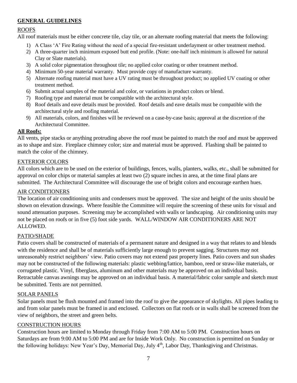#### **GENERAL GUIDELINES**

#### ROOFS

All roof materials must be either concrete tile, clay tile, or an alternate roofing material that meets the following:

- 1) A Class 'A' Fire Rating without the need of a special fire-resistant underlayment or other treatment method.
- 2) A three-quarter inch minimum exposed butt end profile. (Note: one-half inch minimum is allowed for natural Clay or Slate materials).
- 3) A solid color pigmentation throughout tile; no applied color coating or other treatment method.
- 4) Minimum 50-year material warranty. Must provide copy of manufacture warranty.
- 5) Alternate roofing material must have a UV rating must be throughout product; no applied UV coating or other treatment method.
- 6) Submit actual samples of the material and color, or variations in product colors or blend.
- 7) Roofing type and material must be compatible with the architectural style.
- 8) Roof details and eave details must be provided. Roof details and eave details must be compatible with the architectural style and roofing material.
- 9) All materials, colors, and finishes will be reviewed on a case-by-case basis; approval at the discretion of the Architectural Committee.

#### **All Roofs:**

All vents, pipe stacks or anything protruding above the roof must be painted to match the roof and must be approved as to shape and size. Fireplace chimney color; size and material must be approved. Flashing shall be painted to match the color of the chimney.

#### EXTERIOR COLORS

All colors which are to be used on the exterior of buildings, fences, walls, planters, walks, etc., shall be submitted for approval on color chips or material samples at least two (2) square inches in area, at the time final plans are submitted. The Architectural Committee will discourage the use of bright colors and encourage earthen hues.

#### AIR CONDITIONERS

The location of air conditioning units and condensers must be approved. The size and height of the units should be shown on elevation drawings. Where feasible the Committee will require the screening of these units for visual and sound attenuation purposes. Screening may be accomplished with walls or landscaping. Air conditioning units may not be placed on roofs or in five (5) foot side yards. WALL/WINDOW AIR CONDITIONERS ARE NOT ALLOWED.

#### PATIO/SHADE

Patio covers shall be constructed of materials of a permanent nature and designed in a way that relates to and blends with the residence and shall be of materials sufficiently large enough to prevent sagging. Structures may not unreasonably restrict neighbors' view. Patio covers may not extend past property lines. Patio covers and sun shades may not be constructed of the following materials: plastic webbing/lattice, bamboo, reed or straw-like materials, or corrugated plastic. Vinyl, fiberglass, aluminum and other materials may be approved on an individual basis. Retractable canvas awnings may be approved on an individual basis. A material/fabric color sample and sketch must be submitted. Tents are not permitted.

#### SOLAR PANELS

Solar panels must be flush mounted and framed into the roof to give the appearance of skylights. All pipes leading to and from solar panels must be framed in and enclosed. Collectors on flat roofs or in walls shall be screened from the view of neighbors, the street and green belts.

#### CONSTRUCTION HOURS

Construction hours are limited to Monday through Friday from 7:00 AM to 5:00 PM. Construction hours on Saturdays are from 9:00 AM to 5:00 PM and are for Inside Work Only. No construction is permitted on Sunday or the following holidays: New Year's Day, Memorial Day, July 4<sup>th</sup>, Labor Day, Thanksgiving and Christmas.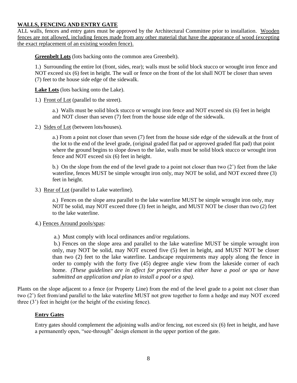#### **WALLS, FENCING AND ENTRY GATE**

ALL walls, fences and entry gates must be approved by the Architectural Committee prior to installation. Wooden fences are not allowed, including fences made from any other material that have the appearance of wood (excepting the exact replacement of an existing wooden fence).

**Greenbelt Lots** (lots backing onto the common area Greenbelt).

1.) Surrounding the entire lot (front, sides, rear); walls must be solid block stucco or wrought iron fence and NOT exceed six (6) feet in height. The wall or fence on the front of the lot shall NOT be closer than seven (7) feet to the house side edge of the sidewalk.

**Lake Lots** (lots backing onto the Lake).

1.) Front of Lot (parallel to the street).

a.) Walls must be solid block stucco or wrought iron fence and NOT exceed six (6) feet in height and NOT closer than seven (7) feet from the house side edge of the sidewalk.

2.) Sides of Lot (between lots/houses).

a.) From a point not closer than seven (7) feet from the house side edge of the sidewalk at the front of the lot to the end of the level grade, (original graded flat pad or approved graded flat pad) that point where the ground begins to slope down to the lake, walls must be solid block stucco or wrought iron fence and NOT exceed six (6) feet in height.

b.) On the slope from the end of the level grade to a point not closer than two (2') feet from the lake waterline, fences MUST be simple wrought iron only, may NOT be solid, and NOT exceed three (3) feet in height.

3.) Rear of Lot (parallel to Lake waterline).

a.) Fences on the slope area parallel to the lake waterline MUST be simple wrought iron only, may NOT be solid, may NOT exceed three (3) feet in height, and MUST NOT be closer than two (2) feet to the lake waterline.

#### 4.) Fences Around pools/spas:

a.) Must comply with local ordinances and/or regulations.

 b.) Fences on the slope area and parallel to the lake waterline MUST be simple wrought iron only, may NOT be solid, may NOT exceed five (5) feet in height, and MUST NOT be closer than two (2) feet to the lake waterline. Landscape requirements may apply along the fence in order to comply with the forty five (45) degree angle view from the lakeside corner of each home. *(These guidelines are in affect for properties that either have a pool or spa or have submitted an application and plan to install a pool or a spa).*

Plants on the slope adjacent to a fence (or Property Line) from the end of the level grade to a point not closer than two (2') feet from/and parallel to the lake waterline MUST not grow together to form a hedge and may NOT exceed three (3') feet in height (or the height of the existing fence).

#### **Entry Gates**

Entry gates should complement the adjoining walls and/or fencing, not exceed six (6) feet in height, and have a permanently open, "see-through" design element in the upper portion of the gate.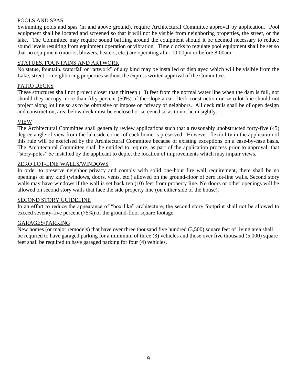#### POOLS AND SPAS

Swimming pools and spas (in and above ground), require Architectural Committee approval by application. Pool equipment shall be located and screened so that it will not be visible from neighboring properties, the street, or the lake. The Committee may require sound baffling around the equipment should it be deemed necessary to reduce sound levels resulting from equipment operation or vibration. Time clocks to regulate pool equipment shall be set so that no equipment (motors, blowers, heaters, etc.) are operating after 10:00pm or before 8:00am.

#### STATUES, FOUNTAINS AND ARTWORK

No statue, fountain, waterfall or "artwork" of any kind may be installed or displayed which will be visible from the Lake, street or neighboring properties without the express written approval of the Committee.

#### PATIO DECKS

These structures shall not project closer than thirteen (13) feet from the normal water line when the dam is full, nor should they occupy more than fifty percent (50%) of the slope area. Deck construction on zero lot line should not project along lot line so as to be obtrusive or impose on privacy of neighbors. All deck rails shall be of open design and construction, area below deck must be enclosed or screened so as to not be unsightly.

#### VIEW

The Architectural Committee shall generally review applications such that a reasonably unobstructed forty-five (45) degree angle of view from the lakeside corner of each home is preserved. However, flexibility in the application of this rule will be exercised by the Architectural Committee because of existing exceptions on a case-by-case basis. The Architectural Committee shall be entitled to require, as part of the application process prior to approval, that "story-poles" be installed by the applicant to depict the location of improvements which may impair views.

#### ZERO LOT-LINE WALLS/WINDOWS

In order to preserve neighbor privacy and comply with solid one-hour fire wall requirement, there shall be no openings of any kind (windows, doors, vents, etc.) allowed on the ground-floor of zero lot-line walls. Second story walls may have windows if the wall is set back ten (10) feet from property line. No doors or other openings will be allowed on second story walls that face the side property line (on either side of the house).

#### SECOND STORY GUIDELINE

In an effort to reduce the appearance of "box-like" architecture, the second story footprint shall not be allowed to exceed seventy-five percent (75%) of the ground-floor square footage.

#### GARAGES/PARKING

New homes (or major remodels) that have over three thousand five hundred (3,500) square feet of living area shall be required to have garaged parking for a minimum of three (3) vehicles and those over five thousand (5,000) square feet shall be required to have garaged parking for four (4) vehicles.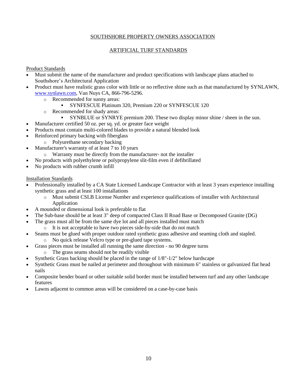#### ARTIFICIAL TURF STANDARDS

#### Product Standards

- Must submit the name of the manufacturer and product specifications with landscape plans attached to Southshore's Architectural Application
- Product must have realistic grass color with little or no reflective shine such as that manufactured by SYNLAWN, [www.synlawn.com,](http://www.synlawn.com/) Van Nuys CA, 866-796-5296.
	- o Recommended for sunny areas:
		- SYNFESCUE Platinum 320, Premium 220 or SYNFESCUE 120
	- o Recommended for shady areas:
		- SYNBLUE or SYNRYE premium 200. These two display minor shine / sheen in the sun.
- Manufacturer certified 50 oz. per sq. yd. or greater face weight
- Products must contain multi-colored blades to provide a natural blended look
- Reinforced primary backing with fiberglass
	- o Polyurethane secondary backing
- Manufacturer's warranty of at least 7 to 10 years
	- o Warranty must be directly from the manufacturer- not the installer
- No products with polyethylene or polypropylene slit-film even if defibrillated
- No products with rubber crumb infill

#### Installation Standards

- Professionally installed by a CA State Licensed Landscape Contractor with at least 3 years experience installing synthetic grass and at least 100 installations
	- o Must submit CSLB License Number and experience qualifications of installer with Architectural Application
- A mounded or dimensional look is preferable to flat
- The Sub-base should be at least 3" deep of compacted Class II Road Base or Decomposed Granite (DG)
- The grass must all be from the same dye lot and all pieces installed must match
	- o It is not acceptable to have two pieces side-by-side that do not match
- Seams must be glued with proper outdoor rated synthetic grass adhesive and seaming cloth and stapled.
	- o No quick release Velcro type or pre-glued tape systems.
	- Grass pieces must be installed all running the same direction no 90 degree turns
		- o The grass seams should not be readily visible
- Synthetic Grass backing should be placed in the range of 1/8"-1/2" below hardscape
- Synthetic Grass must be nailed at perimeter and throughout with minimum 6" stainless or galvanized flat head nails
- Composite bender board or other suitable solid border must be installed between turf and any other landscape features
- Lawns adjacent to common areas will be considered on a case-by-case basis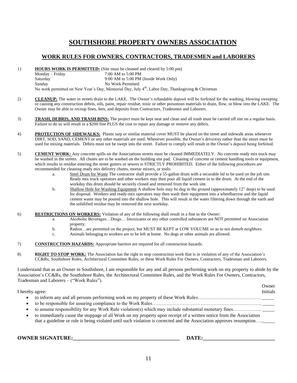#### **WORK RULES FOR OWNERS, CONTRACTORS, TRADESMEN and LABORERS**

1) **HOURS WORK IS PERMITTED:** (Site must be cleaned and cleared by 5:00 pm) Monday – Friday 7:00 AM to 5:00 PM Saturday 9:00 AM to 5:00 PM (Inside Work Only) Sunday No Work Permitted No work permitted on New Year's Day, Memorial Day, July 4<sup>th</sup>, Labor Day, Thanksgiving & Christmas

- 2) **CLEANUP:** The water in streets drain to the LAKE. The Owner's refundable deposit will be forfeited for the washing, blowing sweeping or causing any construction debris, oils, paint, repair residue, toxic or other poisonous materials to drain, flow, or blow into the LAKE. The Owner may be able to recoup fines, fees, and deposits from Contractors, Tradesmen and Laborers.
- 3) **TRASH, DEBRIS, AND TRASH BINS:** The project must be kept neat and clean and all trash must be carried off site on a regular basis. Failure to do so will result in a \$200 fine PLUS the cost to repair any damage or remove any debris.
- 4) **PROTECTION OF SIDEWALKS:** Plastic tarp or similar material cover MUST be placed on the street and sidewalk areas whenever DIRT, SOD, SAND, CEMENT or any other materials are used. Whenever possible, the Owner's driveway rather than the street must be used for mixing materials. Debris must not be swept into the street. Failure to comply will result in the Owner's deposit being forfeited.
- 5) **CEMENT WORK:** Any concrete spills on the Associations streets must be cleaned IMMEDIATELY. No concrete ready mix truck may be washed in the streets. All chutes are to be washed on the building site pad. Cleaning of concrete or cement handling tools or equipment, which results in residue entering the street gutters or sewers is STRICTLY PROHIBITED. Either of the following procedures are recommended for cleaning ready mix delivery chutes, mortar mixers, or tools:
	- a. Steel Drum for Waste The contractor shall provide a 55-gallon drum with a securable lid to be used on the job site. Ready mix truck operators and other workers may then pour all liquid cement in to the drum. At the end of the workday this drum should be securely closed and removed from the work site.
	- b. Shallow Hole for Washing Equipment A shallow hole may be dug in the ground (approximately 12" deep) to be used for disposal. Workers and ready-mix operators may then wash their equipment into a wheelbarrow and the liquid cement waste may be poured into the shallow hole. This will result in the water filtering down through the earth and the solidified residue may be removed the next workday.
- 6) **RESTRICTIONS ON WORKERS:** Violation of any of the following shall result in a fine to the Owner:
	- a. Alcoholic Beverages…Drugs… Intoxicants or any other controlled substances are NOT permitted on Association property.
	- b. Radios…are permitted on the project, but MUST BE KEPT at LOW VOLUME so as to not disturb neighbors.
	- c. Animals belonging to workers are to be left at home. No dogs or other animals are allowed.
- 7) **CONSTRUCTION HAZARDS:** Appropriate barriers are required for all construction hazards.
- 8) **RIGHT TO STOP WORK:** The Association has the right to stop construction work that is in violation of any of the Association's CC&Rs, Southshore Rules, Architectural Committee Rules, or these Work Rules For Owners, Contractors, Tradesman and Laborers.

I understand that as an Owner in Southshore, I am responsible for any and all persons performing work on my property to abide by the Association's CC&Rs, the Southshore Rules, the Architectural Committee Rules, and the Work Rules For Owners, Contractors, Tradesman and Laborers – ("Work Rules").

Owner I hereby agree: Initials • to inform any and all persons performing work on my property of these Work Rules………………………………… to be responsible for assuring compliance to the Work Rules………………………………………………………… to assume responsibility for any Work Rule violation(s) which may include substantial monetary fines………………. to immediately cause the stoppage of all Work on my property upon receipt of a written notice from the Association that a guideline or rule is being violated until such violation is corrected and the Association approves resumption….

**OWNER SIGNATURE:\_\_\_\_\_\_\_\_\_\_\_\_\_\_\_\_\_\_\_\_\_\_\_\_\_\_\_\_\_\_\_\_\_\_\_\_\_\_\_\_ DATE:\_\_\_\_\_\_\_\_\_\_\_\_\_\_\_\_\_\_\_\_\_\_\_\_\_\_\_**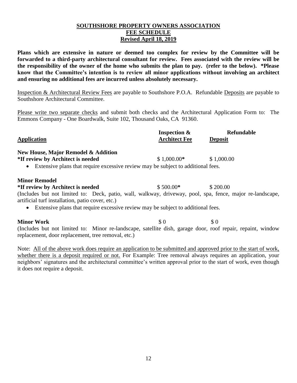#### **SOUTHSHORE PROPERTY OWNERS ASSOCIATION FEE SCHEDULE Revised April 18, 2019**

**Plans which are extensive in nature or deemed too complex for review by the Committee will be forwarded to a third-party architectural consultant for review. Fees associated with the review will be the responsibility of the owner of the home who submits the plan to pay. (refer to the below). \*Please know that the Committee's intention is to review all minor applications without involving an architect and ensuring no additional fees are incurred unless absolutely necessary.**

Inspection & Architectural Review Fees are payable to Southshore P.O.A. Refundable Deposits are payable to Southshore Architectural Committee.

Please write two separate checks and submit both checks and the Architectural Application Form to: The Emmons Company - One Boardwalk, Suite 102, Thousand Oaks, CA 91360.

| <b>Application</b>                                                                                                                                                | <b>Inspection &amp;</b><br><b>Architect Fee</b> | Refundable<br><b>Deposit</b> |
|-------------------------------------------------------------------------------------------------------------------------------------------------------------------|-------------------------------------------------|------------------------------|
| New House, Major Remodel & Addition                                                                                                                               |                                                 |                              |
| *If review by Architect is needed                                                                                                                                 | $$1,000.00*$                                    | \$1,000.00                   |
| • Extensive plans that require excessive review may be subject to additional fees.                                                                                |                                                 |                              |
| <b>Minor Remodel</b>                                                                                                                                              |                                                 |                              |
| *If review by Architect is needed                                                                                                                                 | $$500.00*$                                      | \$200.00                     |
| (Includes but not limited to: Deck, patio, wall, walkway, driveway, pool, spa, fence, major re-landscape,<br>artificial turf installation, patio cover, etc.)     |                                                 |                              |
| • Extensive plans that require excessive review may be subject to additional fees.                                                                                |                                                 |                              |
| <b>Minor Work</b>                                                                                                                                                 | $\Omega$                                        | $\Omega$                     |
| (Includes but not limited to: Minor re-landscape, satellite dish, garage door, roof repair, repaint, window<br>replacement, door replacement, tree removal, etc.) |                                                 |                              |

Note: All of the above work does require an application to be submitted and approved prior to the start of work, whether there is a deposit required or not. For Example: Tree removal always requires an application, your neighbors' signatures and the architectural committee's written approval prior to the start of work, even though it does not require a deposit.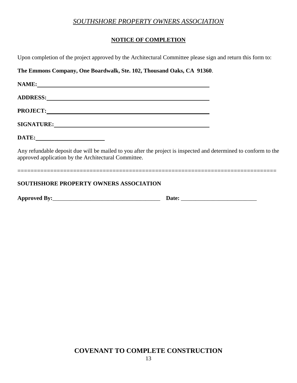#### **NOTICE OF COMPLETION**

| <b>SOUTHSHORE PROPERTY OWNERS ASSOCIATION</b>                                                                                                                                                                                  |  |
|--------------------------------------------------------------------------------------------------------------------------------------------------------------------------------------------------------------------------------|--|
| Any refundable deposit due will be mailed to you after the project is inspected and determined to conform to the<br>approved application by the Architectural Committee.                                                       |  |
|                                                                                                                                                                                                                                |  |
| SIGNATURE: North and the set of the set of the set of the set of the set of the set of the set of the set of the set of the set of the set of the set of the set of the set of the set of the set of the set of the set of the |  |
|                                                                                                                                                                                                                                |  |
| ADDRESS: North Contract of the Contract of the Contract of the Contract of the Contract of the Contract of the Contract of the Contract of the Contract of the Contract of the Contract of the Contract of the Contract of the |  |
| NAME:                                                                                                                                                                                                                          |  |
| The Emmons Company, One Boardwalk, Ste. 102, Thousand Oaks, CA 91360.                                                                                                                                                          |  |
| Upon completion of the project approved by the Architectural Committee please sign and return this form to:                                                                                                                    |  |

## **COVENANT TO COMPLETE CONSTRUCTION**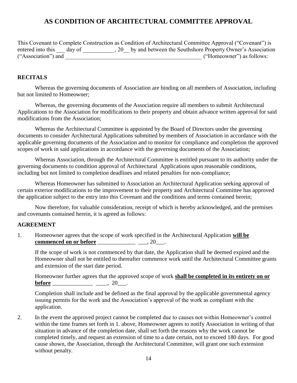## **AS CONDITION OF ARCHITECTURAL COMMITTEE APPROVAL**

This Covenant to Complete Construction as Condition of Architectural Committee Approval ("Covenant") is entered into this \_\_\_ day of \_\_\_\_\_\_\_\_\_, 20\_\_ by and between the Southshore Property Owner's Association ("Association") and \_\_\_\_\_\_\_\_\_\_\_\_\_\_\_\_\_\_\_\_\_\_\_\_\_\_\_\_\_\_\_\_\_\_\_\_\_\_\_\_\_\_\_\_\_\_\_ ("Homeowner") as follows:

#### **RECITALS**

Whereas the governing documents of Association are binding on all members of Association, including but not limited to Homeowner;

Whereas, the governing documents of the Association require all members to submit Architectural Applications to the Association for modifications to their property and obtain advance written approval for said modifications from the Association;

Whereas the Architectural Committee is appointed by the Board of Directors under the governing documents to consider Architectural Applications submitted by members of Association in accordance with the applicable governing documents of the Association and to monitor for compliance and completion the approved scopes of work in said applications in accordance with the governing documents of the Association;

Whereas Association, through the Architectural Committee is entitled pursuant to its authority under the governing documents to condition approval of Architectural Applications upon reasonable conditions, including but not limited to completion deadlines and related penalties for non-compliance;

Whereas Homeowner has submitted to Association an Architectural Application seeking approval of certain exterior modifications to the improvement to their property and Architectural Committee has approved the application subject to the entry into this Covenant and the conditions and terms contained herein;

Now therefore, for valuable consideration, receipt of which is hereby acknowledged, and the premises and covenants contained herein, it is agreed as follows:

#### **AGREEMENT**

1. Homeowner agrees that the scope of work specified in the Architectural Application **will be commenced on or before** \_\_\_\_\_\_\_\_\_\_\_\_\_\_\_\_\_\_\_\_, 20\_\_\_.

If the scope of work is not commenced by that date, the Application shall be deemed expired and the Homeowner shall not be entitled to thereafter commence work until the Architectural Committee grants and extension of the start date period.

Homeowner further agrees that the approved scope of work **shall be completed in its entirety on or before** \_\_\_\_\_\_\_\_\_\_\_\_\_\_\_\_\_\_\_\_\_\_\_\_\_, 20\_\_\_\_.

Completion shall include and be defined as the final approval by the applicable governmental agency issuing permits for the work and the Association's approval of the work as compliant with the application.

2. In the event the approved project cannot be completed due to causes not within Homeowner's control within the time frames set forth in 1. above, Homeowner agrees to notify Association in writing of that situation in advance of the completion date, shall set forth the reasons why the work cannot be completed timely, and request an extension of time to a date certain, not to exceed 180 days. For good cause shown, the Association, through the Architectural Committee, will grant one such extension without penalty.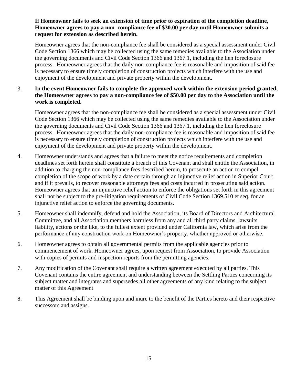#### **If Homeowner fails to seek an extension of time prior to expiration of the completion deadline, Homeowner agrees to pay a non–compliance fee of \$30.00 per day until Homeowner submits a request for extension as described herein.**

Homeowner agrees that the non-compliance fee shall be considered as a special assessment under Civil Code Section 1366 which may be collected using the same remedies available to the Association under the governing documents and Civil Code Section 1366 and 1367.1, including the lien foreclosure process. Homeowner agrees that the daily non-compliance fee is reasonable and imposition of said fee is necessary to ensure timely completion of construction projects which interfere with the use and enjoyment of the development and private property within the development.

#### 3. **In the event Homeowner fails to complete the approved work within the extension period granted, the Homeowner agrees to pay a non-compliance fee of \$50.00 per day to the Association until the work is completed.**

Homeowner agrees that the non-compliance fee shall be considered as a special assessment under Civil Code Section 1366 which may be collected using the same remedies available to the Association under the governing documents and Civil Code Section 1366 and 1367.1, including the lien foreclosure process. Homeowner agrees that the daily non-compliance fee is reasonable and imposition of said fee is necessary to ensure timely completion of construction projects which interfere with the use and enjoyment of the development and private property within the development.

- 4. Homeowner understands and agrees that a failure to meet the notice requirements and completion deadlines set forth herein shall constitute a breach of this Covenant and shall entitle the Association, in addition to charging the non-compliance fees described herein, to prosecute an action to compel completion of the scope of work by a date certain through an injunctive relief action in Superior Court and if it prevails, to recover reasonable attorneys fees and costs incurred in prosecuting said action. Homeowner agrees that an injunctive relief action to enforce the obligations set forth in this agreement shall not be subject to the pre-litigation requirements of Civil Code Section 1369.510 et seq. for an injunctive relief action to enforce the governing documents.
- 5. Homeowner shall indemnify, defend and hold the Association, its Board of Directors and Architectural Committee, and all Association members harmless from any and all third party claims, lawsuits, liability, actions or the like, to the fullest extent provided under California law, which arise from the performance of any construction work on Homeowner's property, whether approved or otherwise.
- 6. Homeowner agrees to obtain all governmental permits from the applicable agencies prior to commencement of work. Homeowner agrees, upon request from Association, to provide Association with copies of permits and inspection reports from the permitting agencies.
- 7. Any modification of the Covenant shall require a written agreement executed by all parties. This Covenant contains the entire agreement and understanding between the Settling Parties concerning its subject matter and integrates and supersedes all other agreements of any kind relating to the subject matter of this Agreement
- 8. This Agreement shall be binding upon and inure to the benefit of the Parties hereto and their respective successors and assigns.